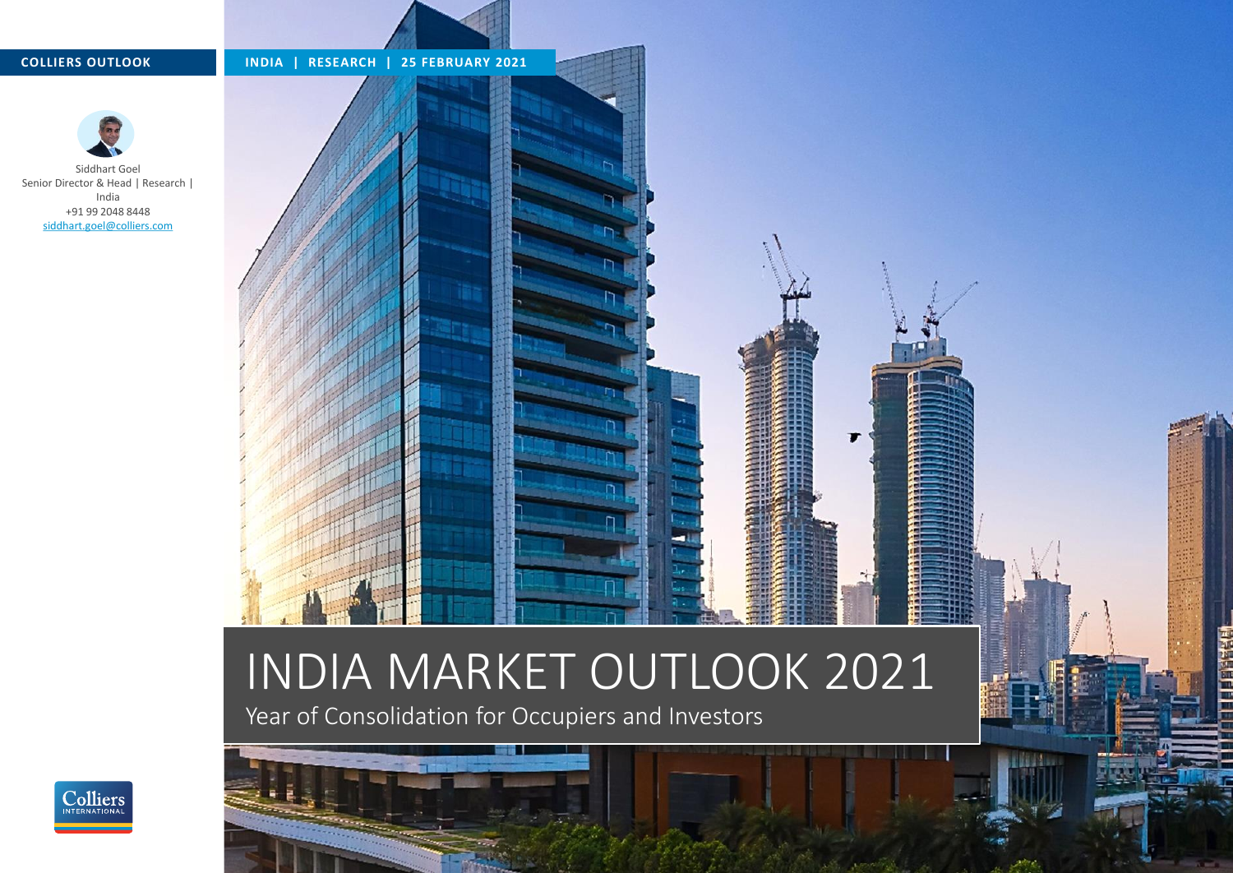

# INDIA MARKET OUTLOOK 2021

Year of Consolidation for Occupiers and Investors



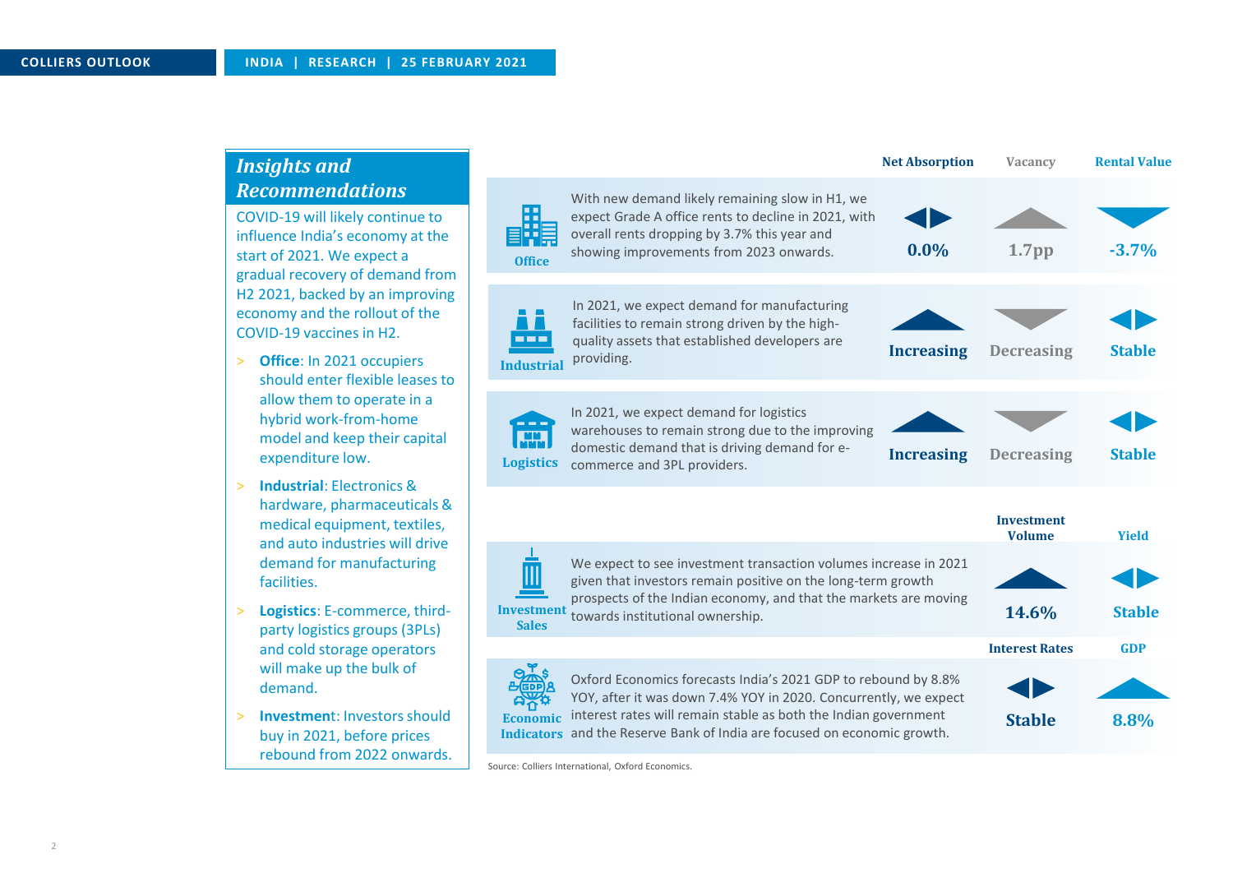## *Insights and Recommendations*

COVID-19 will likely continue to influence India's economy at the start of 2021. We expect a gradual recovery of demand from H2 2021, backed by an improving economy and the rollout of the COVID-19 vaccines in H2.

- > **Office**: In 2021 occupiers should enter flexible leases to allow them to operate in a hybrid work-from-home model and keep their capital expenditure low.
- > **Industrial**: Electronics & hardware, pharmaceuticals & medical equipment, textiles, and auto industries will drive demand for manufacturing facilities.
- > **Logistics**: E-commerce, thirdparty logistics groups (3PLs) and cold storage operators will make up the bulk of demand.
- > **Investmen**t: Investors should buy in 2021, before prices rebound from 2022 onwards.

|                                                                                                                                                                                                                                                                                                                |                                                                                                                                                                                                                                          | <b>Net Absorption</b> | Vacancv                            | <b>Rental Value</b> |
|----------------------------------------------------------------------------------------------------------------------------------------------------------------------------------------------------------------------------------------------------------------------------------------------------------------|------------------------------------------------------------------------------------------------------------------------------------------------------------------------------------------------------------------------------------------|-----------------------|------------------------------------|---------------------|
| <b>Office</b>                                                                                                                                                                                                                                                                                                  | With new demand likely remaining slow in H1, we<br>expect Grade A office rents to decline in 2021, with<br>overall rents dropping by 3.7% this year and<br>showing improvements from 2023 onwards.                                       | 0.0%                  | 1.7 <sub>pp</sub>                  | $-3.7%$             |
| <b>Industrial</b>                                                                                                                                                                                                                                                                                              | In 2021, we expect demand for manufacturing<br>facilities to remain strong driven by the high-<br>quality assets that established developers are<br>providing.                                                                           | <b>Increasing</b>     | <b>Decreasing</b>                  | <b>Stable</b>       |
| <b>Logistics</b>                                                                                                                                                                                                                                                                                               | In 2021, we expect demand for logistics<br>warehouses to remain strong due to the improving<br>domestic demand that is driving demand for e-<br>commerce and 3PL providers.                                                              | <b>Increasing</b>     | <b>Decreasing</b>                  | <b>Stable</b>       |
|                                                                                                                                                                                                                                                                                                                |                                                                                                                                                                                                                                          |                       | <b>Investment</b><br><b>Volume</b> | <b>Yield</b>        |
| <b>Investment</b><br><b>Sales</b>                                                                                                                                                                                                                                                                              | We expect to see investment transaction volumes increase in 2021<br>given that investors remain positive on the long-term growth<br>prospects of the Indian economy, and that the markets are moving<br>towards institutional ownership. |                       | 14.6%                              | <b>Stable</b>       |
|                                                                                                                                                                                                                                                                                                                |                                                                                                                                                                                                                                          |                       | <b>Interest Rates</b>              | <b>GDP</b>          |
| Oxford Economics forecasts India's 2021 GDP to rebound by 8.8%<br>YOY, after it was down 7.4% YOY in 2020. Concurrently, we expect<br>interest rates will remain stable as both the Indian government<br><b>Economic</b><br>and the Reserve Bank of India are focused on economic growth.<br><b>Indicators</b> |                                                                                                                                                                                                                                          | <b>Stable</b>         | 8.8%                               |                     |

Source: Colliers International, Oxford Economics.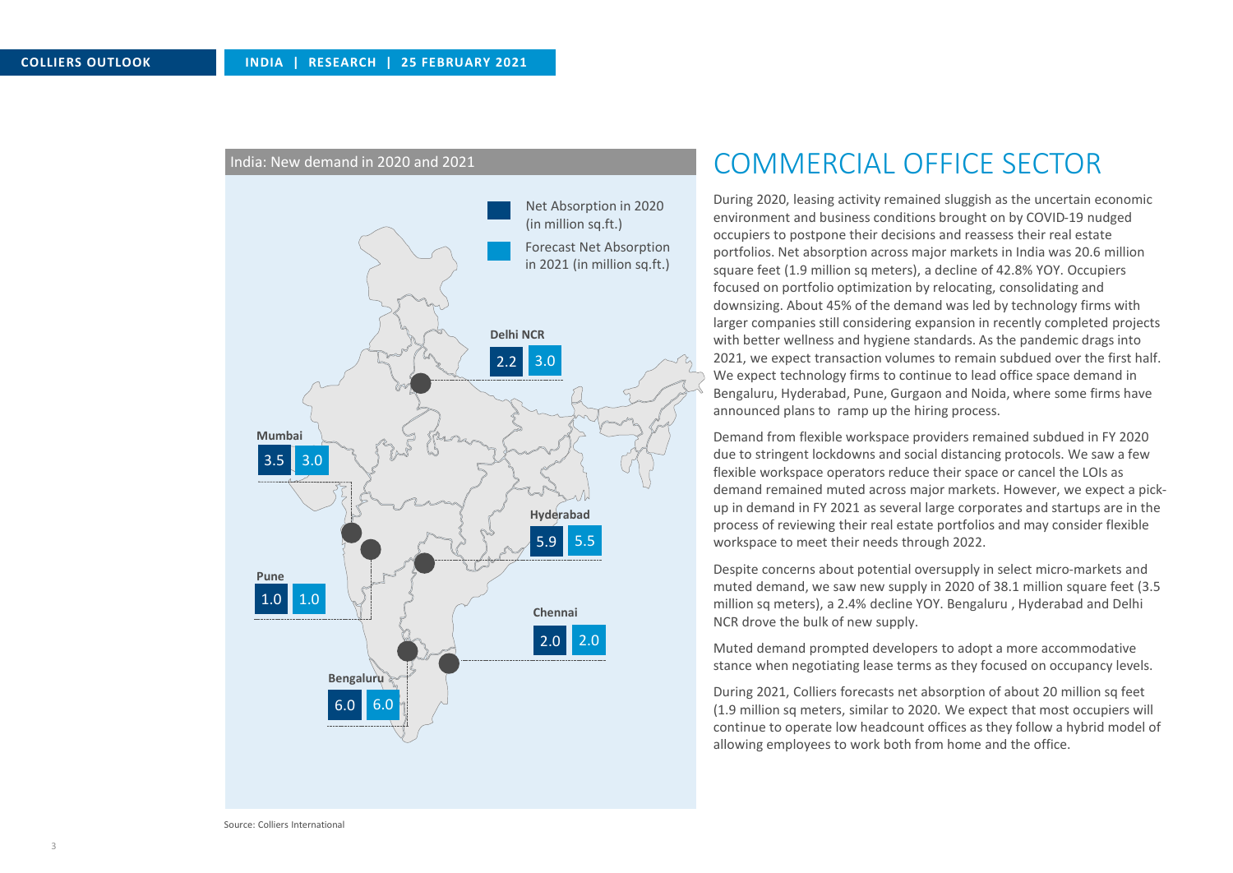

#### India: New demand in 2020 and 2021

# COMMERCIAL OFFICE SECTOR

During 2020, leasing activity remained sluggish as the uncertain economic environment and business conditions brought on by COVID-19 nudged occupiers to postpone their decisions and reassess their real estate portfolios. Net absorption across major markets in India was 20.6 million square feet (1.9 million sq meters), a decline of 42.8% YOY. Occupiers focused on portfolio optimization by relocating, consolidating and downsizing. About 45% of the demand was led by technology firms with larger companies still considering expansion in recently completed projects with better wellness and hygiene standards. As the pandemic drags into 2021, we expect transaction volumes to remain subdued over the first half. We expect technology firms to continue to lead office space demand in Bengaluru, Hyderabad, Pune, Gurgaon and Noida, where some firms have announced plans to ramp up the hiring process.

Demand from flexible workspace providers remained subdued in FY 2020 due to stringent lockdowns and social distancing protocols. We saw a few flexible workspace operators reduce their space or cancel the LOIs as demand remained muted across major markets. However, we expect a pickup in demand in FY 2021 as several large corporates and startups are in the process of reviewing their real estate portfolios and may consider flexible workspace to meet their needs through 2022.

Despite concerns about potential oversupply in select micro-markets and muted demand, we saw new supply in 2020 of 38.1 million square feet (3.5 million sq meters), a 2.4% decline YOY. Bengaluru , Hyderabad and Delhi NCR drove the bulk of new supply.

Muted demand prompted developers to adopt a more accommodative stance when negotiating lease terms as they focused on occupancy levels.

During 2021, Colliers forecasts net absorption of about 20 million sq feet (1.9 million sq meters, similar to 2020. We expect that most occupiers will continue to operate low headcount offices as they follow a hybrid model of allowing employees to work both from home and the office.

Source: Colliers International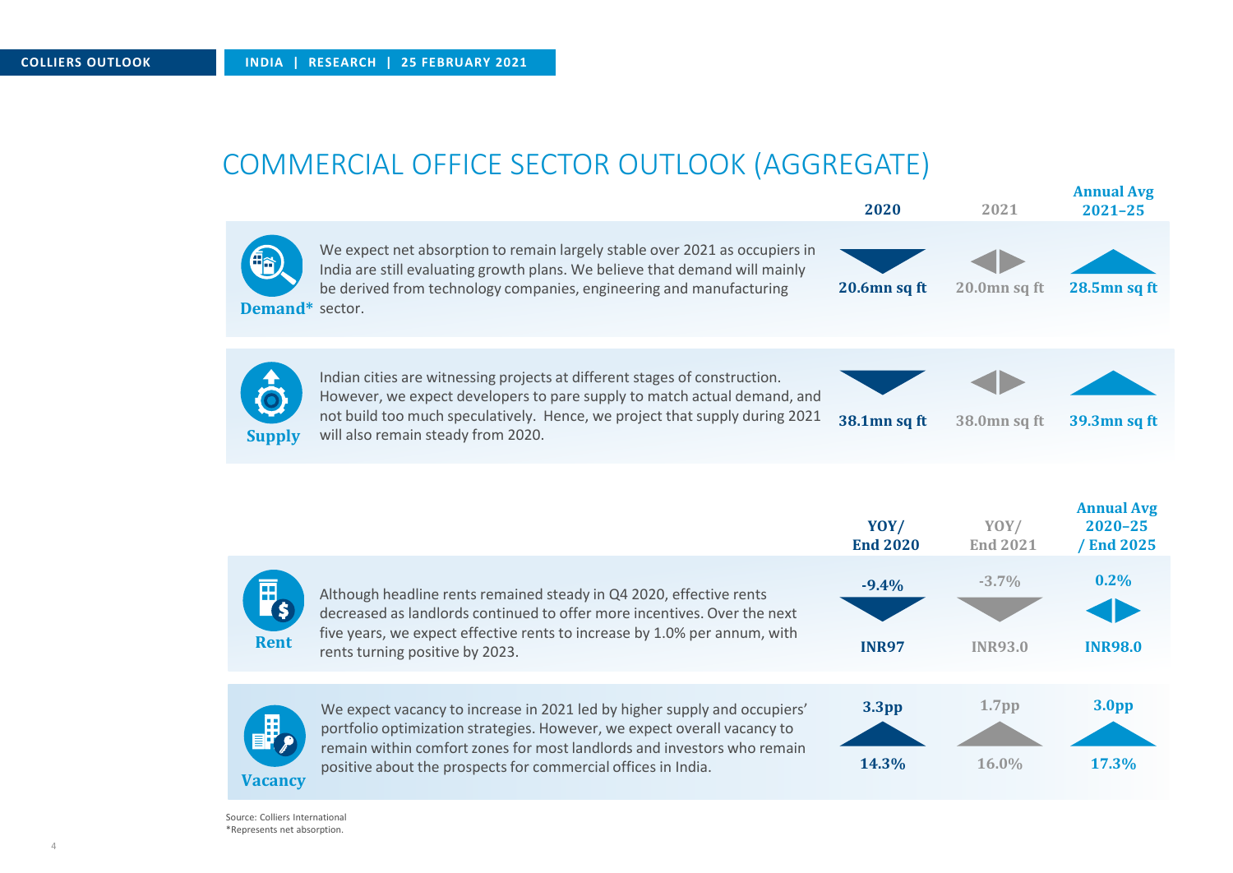# COMMERCIAL OFFICE SECTOR OUTLOOK (AGGREGATE)

|                 |                                                                                                                                                                                                                                                                                                   | 2020                       | 2021                       | <b>Annual Avg</b><br>$2021 - 25$              |
|-----------------|---------------------------------------------------------------------------------------------------------------------------------------------------------------------------------------------------------------------------------------------------------------------------------------------------|----------------------------|----------------------------|-----------------------------------------------|
| Demand* sector. | We expect net absorption to remain largely stable over 2021 as occupiers in<br>India are still evaluating growth plans. We believe that demand will mainly<br>be derived from technology companies, engineering and manufacturing                                                                 | 20.6mn sq ft               | 20.0mn sq ft               | 28.5mn sq ft                                  |
| <b>Supply</b>   | Indian cities are witnessing projects at different stages of construction.<br>However, we expect developers to pare supply to match actual demand, and<br>not build too much speculatively. Hence, we project that supply during 2021<br>will also remain steady from 2020.                       | 38.1mn sq ft               | 38.0mn sq ft               | 39.3mn sq ft                                  |
|                 |                                                                                                                                                                                                                                                                                                   | YOY/<br><b>End 2020</b>    | YOY/<br><b>End 2021</b>    | <b>Annual Avg</b><br>$2020 - 25$<br>/End 2025 |
| <b>Rent</b>     | Although headline rents remained steady in Q4 2020, effective rents<br>decreased as landlords continued to offer more incentives. Over the next<br>five years, we expect effective rents to increase by 1.0% per annum, with<br>rents turning positive by 2023.                                   | $-9.4%$<br><b>INR97</b>    | $-3.7%$<br><b>INR93.0</b>  | 0.2%<br><b>INR98.0</b>                        |
| <b>Vacancy</b>  | We expect vacancy to increase in 2021 led by higher supply and occupiers'<br>portfolio optimization strategies. However, we expect overall vacancy to<br>remain within comfort zones for most landlords and investors who remain<br>positive about the prospects for commercial offices in India. | 3.3 <sub>pp</sub><br>14.3% | 1.7 <sub>pp</sub><br>16.0% | 3.0 <sub>pp</sub><br>17.3%                    |

Source: Colliers International \*Represents net absorption.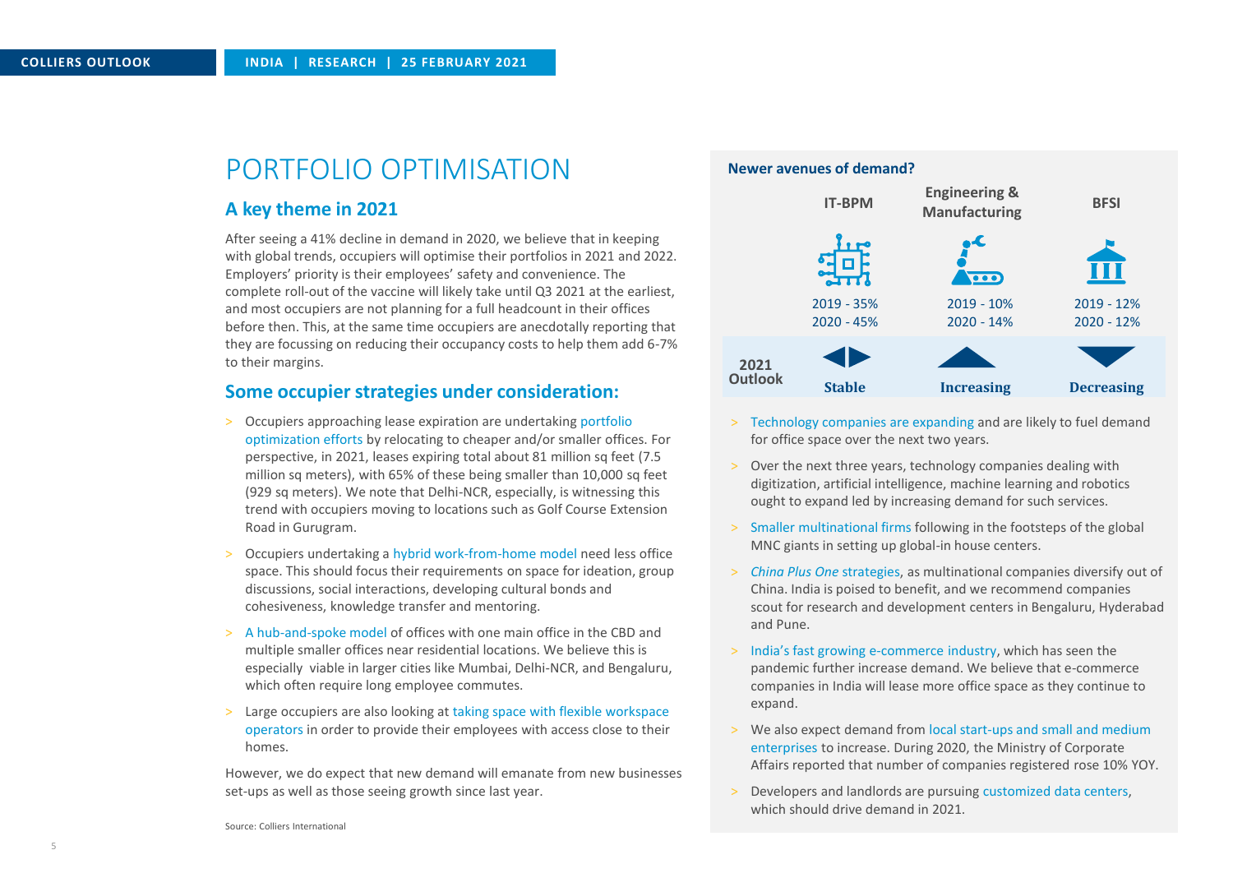# PORTFOLIO OPTIMISATION

#### **A key theme in 2021**

After seeing a 41% decline in demand in 2020, we believe that in keeping with global trends, occupiers will optimise their portfolios in 2021 and 2022. Employers' priority is their employees' safety and convenience. The complete roll-out of the vaccine will likely take until Q3 2021 at the earliest, and most occupiers are not planning for a full headcount in their offices before then. This, at the same time occupiers are anecdotally reporting that they are focussing on reducing their occupancy costs to help them add 6-7% to their margins.

### **Some occupier strategies under consideration:**

- > Occupiers approaching lease expiration are undertaking portfolio optimization efforts by relocating to cheaper and/or smaller offices. For perspective, in 2021, leases expiring total about 81 million sq feet (7.5 million sq meters), with 65% of these being smaller than 10,000 sq feet (929 sq meters). We note that Delhi-NCR, especially, is witnessing this trend with occupiers moving to locations such as Golf Course Extension Road in Gurugram.
- Occupiers undertaking a hybrid work-from-home model need less office space. This should focus their requirements on space for ideation, group discussions, social interactions, developing cultural bonds and cohesiveness, knowledge transfer and mentoring.
- > A hub-and-spoke model of offices with one main office in the CBD and multiple smaller offices near residential locations. We believe this is especially viable in larger cities like Mumbai, Delhi-NCR, and Bengaluru, which often require long employee commutes.
- Large occupiers are also looking at taking space with flexible workspace operators in order to provide their employees with access close to their homes.

However, we do expect that new demand will emanate from new businesses set-ups as well as those seeing growth since last year.



- > Technology companies are expanding and are likely to fuel demand for office space over the next two years.
- > Over the next three years, technology companies dealing with digitization, artificial intelligence, machine learning and robotics ought to expand led by increasing demand for such services.
- > Smaller multinational firms following in the footsteps of the global MNC giants in setting up global-in house centers.
- > *China Plus One* strategies, as multinational companies diversify out of China. India is poised to benefit, and we recommend companies scout for research and development centers in Bengaluru, Hyderabad and Pune.
- > India's fast growing e-commerce industry, which has seen the pandemic further increase demand. We believe that e-commerce companies in India will lease more office space as they continue to expand.
- > We also expect demand from local start-ups and small and medium enterprises to increase. During 2020, the Ministry of Corporate Affairs reported that number of companies registered rose 10% YOY.
- > Developers and landlords are pursuing customized data centers, which should drive demand in 2021.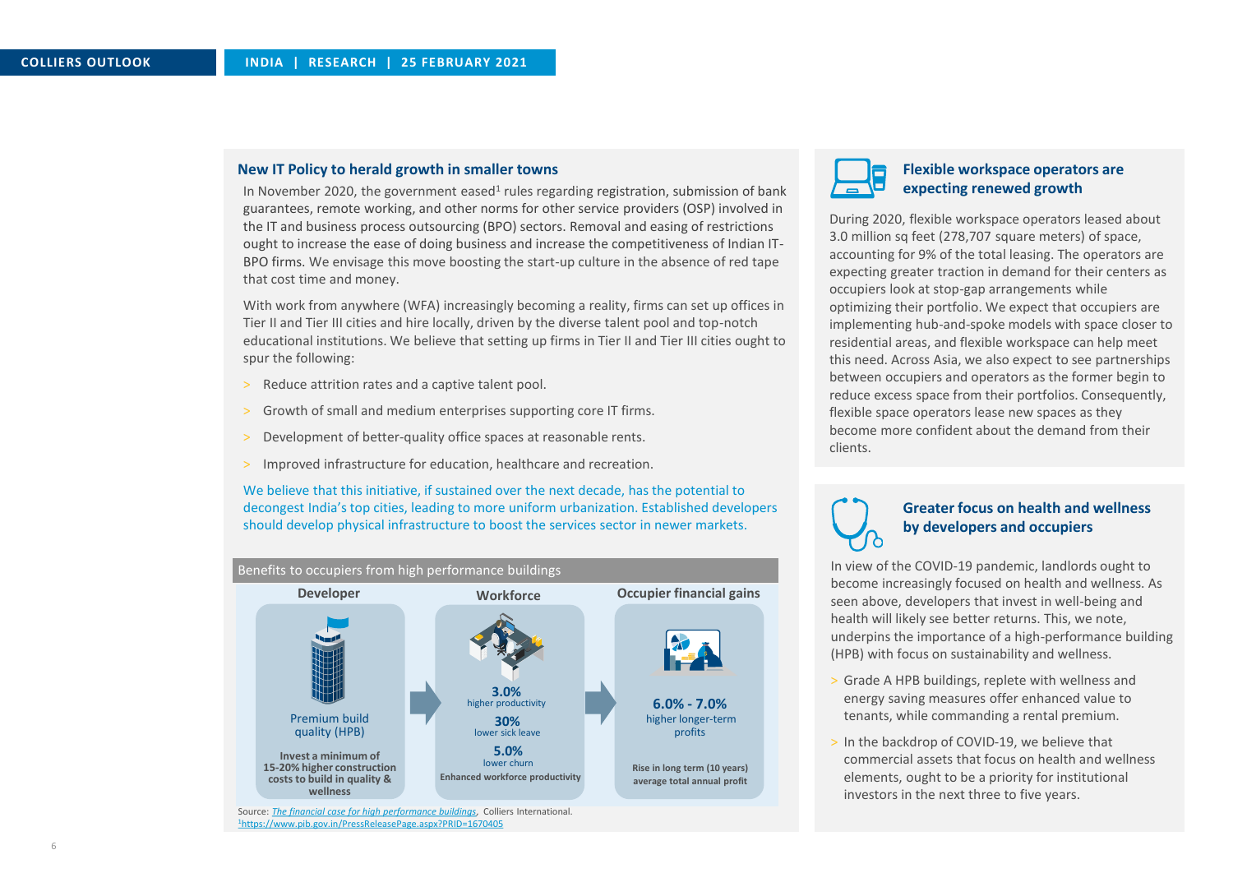#### **New IT Policy to herald growth in smaller towns Fluid Contract Contract Contract Contract Contract Contract Contract Contract Contract Contract Contract Contract Contract Contract Contract Contract Contract Contract Con**

In November 2020, the government eased<sup>1</sup> rules regarding registration, submission of bank guarantees, remote working, and other norms for other service providers (OSP) involved in the IT and business process outsourcing (BPO) sectors. Removal and easing of restrictions ought to increase the ease of doing business and increase the competitiveness of Indian IT-BPO firms. We envisage this move boosting the start-up culture in the absence of red tape that cost time and money.

With work from anywhere (WFA) increasingly becoming a reality, firms can set up offices in Tier II and Tier III cities and hire locally, driven by the diverse talent pool and top-notch educational institutions. We believe that setting up firms in Tier II and Tier III cities ought to spur the following:

- > Reduce attrition rates and a captive talent pool.
- > Growth of small and medium enterprises supporting core IT firms.
- Development of better-quality office spaces at reasonable rents.
- > Improved infrastructure for education, healthcare and recreation.

We believe that this initiative, if sustained over the next decade, has the potential to decongest India's top cities, leading to more uniform urbanization. Established developers should develop physical infrastructure to boost the services sector in newer markets.





# **expecting renewed growth**

During 2020, flexible workspace operators leased about 3.0 million sq feet (278,707 square meters) of space, accounting for 9% of the total leasing. The operators are expecting greater traction in demand for their centers as occupiers look at stop-gap arrangements while optimizing their portfolio. We expect that occupiers are implementing hub-and-spoke models with space closer to residential areas, and flexible workspace can help meet this need. Across Asia, we also expect to see partnerships between occupiers and operators as the former begin to reduce excess space from their portfolios. Consequently, flexible space operators lease new spaces as they become more confident about the demand from their clients.



#### **Greater focus on health and wellness by developers and occupiers**

In view of the COVID-19 pandemic, landlords ought to become increasingly focused on health and wellness. As seen above, developers that invest in well-being and health will likely see better returns. This, we note, underpins the importance of a high-performance building (HPB) with focus on sustainability and wellness.

- > Grade A HPB buildings, replete with wellness and energy saving measures offer enhanced value to tenants, while commanding a rental premium.
- > In the backdrop of COVID-19, we believe that commercial assets that focus on health and wellness elements, ought to be a priority for institutional investors in the next three to five years.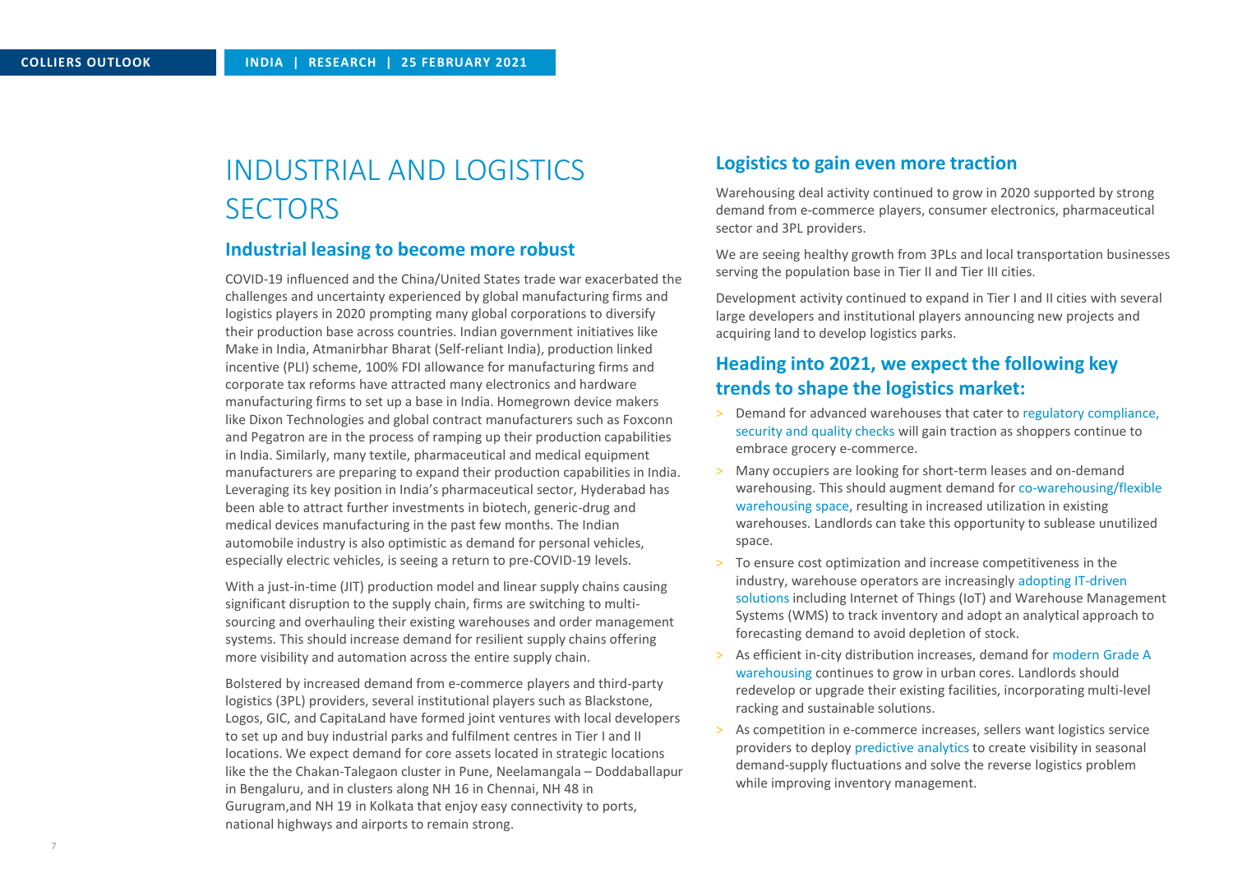# INDUSTRIAL AND LOGISTICS **SECTORS**

### **Industrial leasing to become more robust**

COVID-19 influenced and the China/United States trade war exacerbated the challenges and uncertainty experienced by global manufacturing firms and logistics players in 2020 prompting many global corporations to diversify their production base across countries. Indian government initiatives like Make in India, Atmanirbhar Bharat (Self-reliant India), production linked incentive (PLI) scheme, 100% FDI allowance for manufacturing firms and corporate tax reforms have attracted many electronics and hardware manufacturing firms to set up a base in India. Homegrown device makers like Dixon Technologies and global contract manufacturers such as Foxconn and Pegatron are in the process of ramping up their production capabilities in India. Similarly, many textile, pharmaceutical and medical equipment manufacturers are preparing to expand their production capabilities in India. Leveraging its key position in India's pharmaceutical sector, Hyderabad has been able to attract further investments in biotech, generic-drug and medical devices manufacturing in the past few months. The Indian automobile industry is also optimistic as demand for personal vehicles, especially electric vehicles, is seeing a return to pre-COVID-19 levels.

With a just-in-time (JIT) production model and linear supply chains causing significant disruption to the supply chain, firms are switching to multisourcing and overhauling their existing warehouses and order management systems. This should increase demand for resilient supply chains offering more visibility and automation across the entire supply chain.

Bolstered by increased demand from e-commerce players and third-party logistics (3PL) providers, several institutional players such as Blackstone, Logos, GIC, and CapitaLand have formed joint ventures with local developers to set up and buy industrial parks and fulfilment centres in Tier I and II locations. We expect demand for core assets located in strategic locations like the the Chakan-Talegaon cluster in Pune, Neelamangala – Doddaballapur in Bengaluru, and in clusters along NH 16 in Chennai, NH 48 in Gurugram,and NH 19 in Kolkata that enjoy easy connectivity to ports, national highways and airports to remain strong.

#### **Logistics to gain even more traction**

Warehousing deal activity continued to grow in 2020 supported by strong demand from e-commerce players, consumer electronics, pharmaceutical sector and 3PL providers.

We are seeing healthy growth from 3PLs and local transportation businesses serving the population base in Tier II and Tier III cities.

Development activity continued to expand in Tier I and II cities with several large developers and institutional players announcing new projects and acquiring land to develop logistics parks.

## **Heading into 2021, we expect the following key trends to shape the logistics market:**

- > Demand for advanced warehouses that cater to regulatory compliance, security and quality checks will gain traction as shoppers continue to embrace grocery e-commerce.
- > Many occupiers are looking for short-term leases and on-demand warehousing. This should augment demand for co-warehousing/flexible warehousing space, resulting in increased utilization in existing warehouses. Landlords can take this opportunity to sublease unutilized space.
- > To ensure cost optimization and increase competitiveness in the industry, warehouse operators are increasingly adopting IT-driven solutions including Internet of Things (IoT) and Warehouse Management Systems (WMS) to track inventory and adopt an analytical approach to forecasting demand to avoid depletion of stock.
- As efficient in-city distribution increases, demand for modern Grade A warehousing continues to grow in urban cores. Landlords should redevelop or upgrade their existing facilities, incorporating multi-level racking and sustainable solutions.
- As competition in e-commerce increases, sellers want logistics service providers to deploy predictive analytics to create visibility in seasonal demand-supply fluctuations and solve the reverse logistics problem while improving inventory management.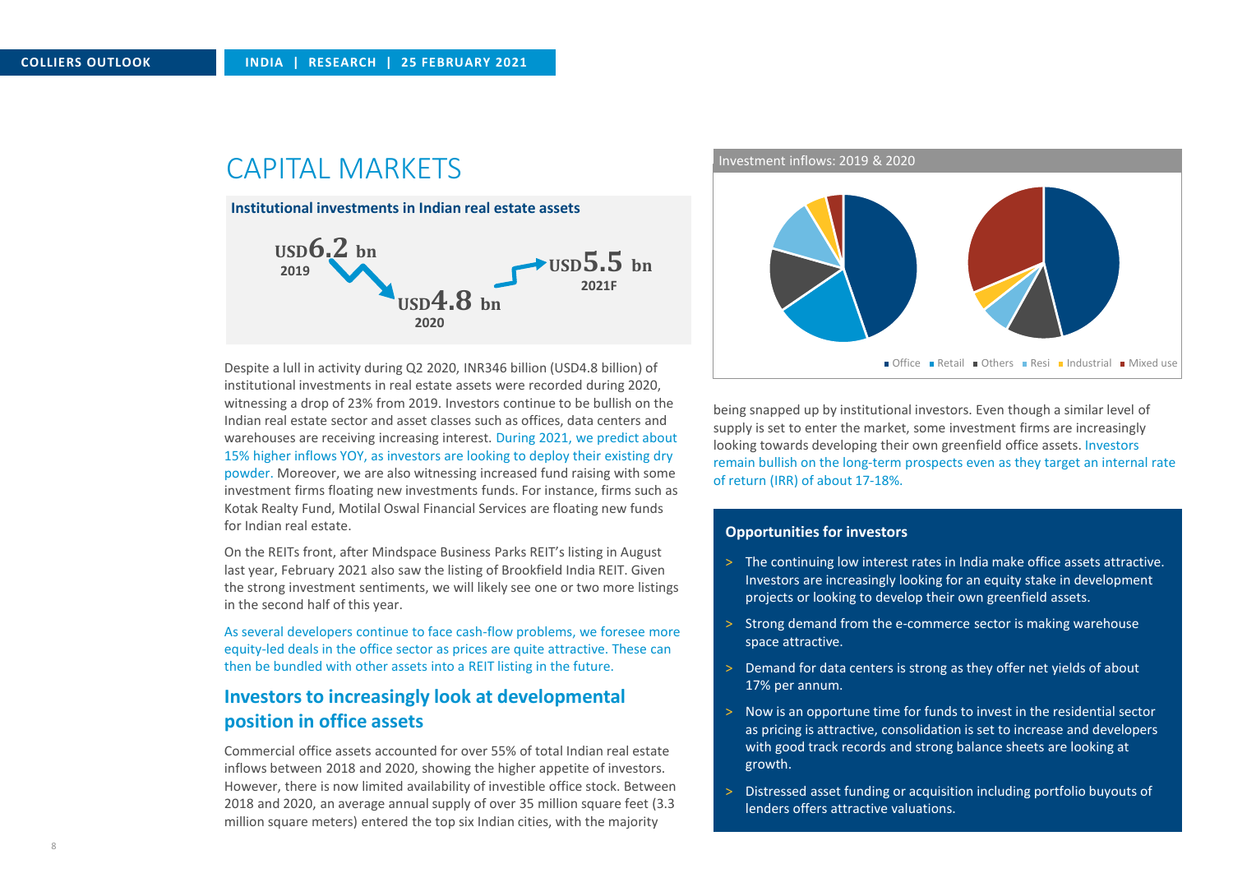## CAPITAL MARKETS



institutional investments in real estate assets were recorded during 2020, witnessing a drop of 23% from 2019. Investors continue to be bullish on the Indian real estate sector and asset classes such as offices, data centers and warehouses are receiving increasing interest. During 2021, we predict about 15% higher inflows YOY, as investors are looking to deploy their existing dry powder. Moreover, we are also witnessing increased fund raising with some investment firms floating new investments funds. For instance, firms such as Kotak Realty Fund, Motilal Oswal Financial Services are floating new funds for Indian real estate.

On the REITs front, after Mindspace Business Parks REIT's listing in August last year, February 2021 also saw the listing of Brookfield India REIT. Given the strong investment sentiments, we will likely see one or two more listings in the second half of this year.

As several developers continue to face cash-flow problems, we foresee more equity-led deals in the office sector as prices are quite attractive. These can then be bundled with other assets into a REIT listing in the future.

## **Investors to increasingly look at developmental position in office assets**

Commercial office assets accounted for over 55% of total Indian real estate inflows between 2018 and 2020, showing the higher appetite of investors. However, there is now limited availability of investible office stock. Between 2018 and 2020, an average annual supply of over 35 million square feet (3.3 million square meters) entered the top six Indian cities, with the majority

Investment inflows: 2019 & 2020



being snapped up by institutional investors. Even though a similar level of supply is set to enter the market, some investment firms are increasingly looking towards developing their own greenfield office assets. Investors remain bullish on the long-term prospects even as they target an internal rate of return (IRR) of about 17-18%.

#### **Opportunities for investors**

- > The continuing low interest rates in India make office assets attractive. Investors are increasingly looking for an equity stake in development projects or looking to develop their own greenfield assets.
- > Strong demand from the e-commerce sector is making warehouse space attractive.
- > Demand for data centers is strong as they offer net yields of about 17% per annum.
- > Now is an opportune time for funds to invest in the residential sector as pricing is attractive, consolidation is set to increase and developers with good track records and strong balance sheets are looking at growth.
- > Distressed asset funding or acquisition including portfolio buyouts of lenders offers attractive valuations.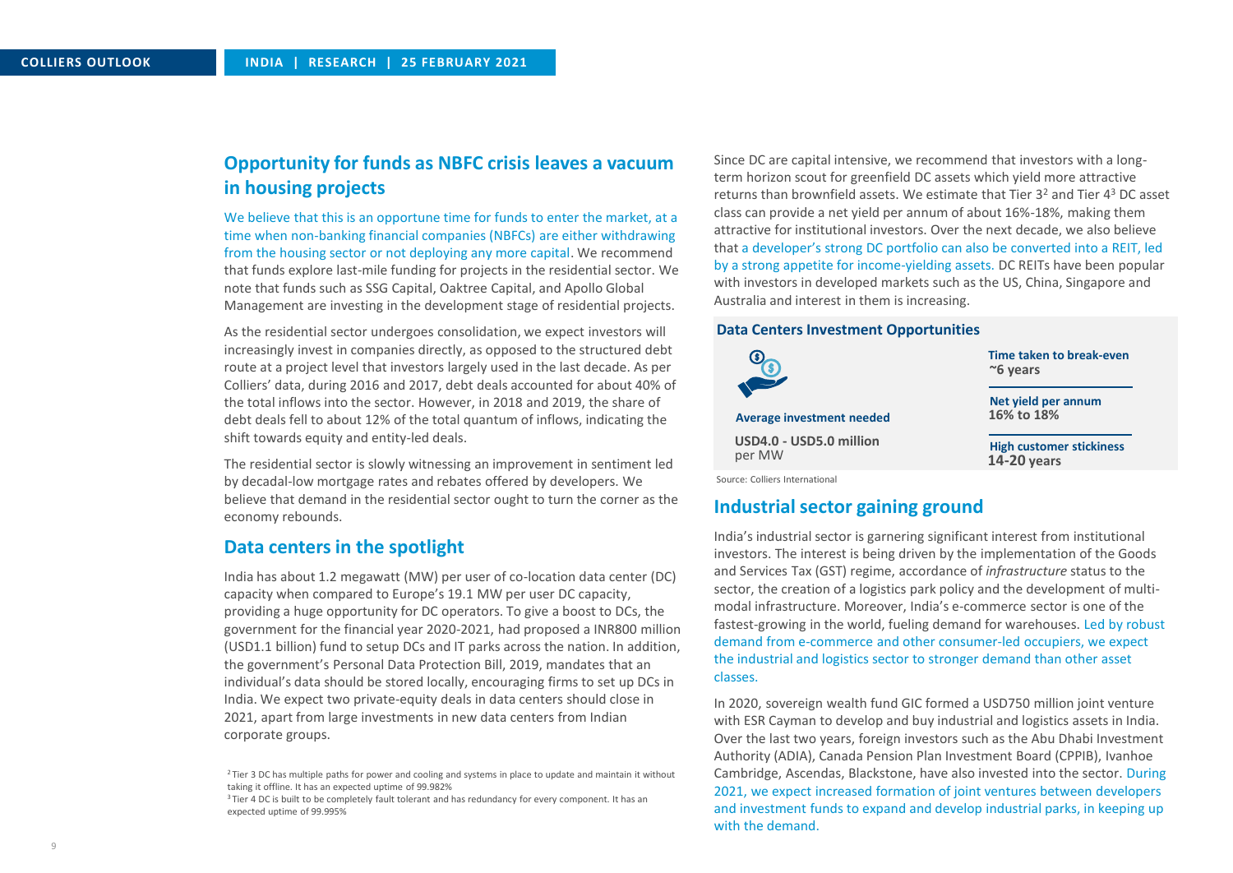## **Opportunity for funds as NBFC crisis leaves a vacuum in housing projects**

We believe that this is an opportune time for funds to enter the market, at a time when non-banking financial companies (NBFCs) are either withdrawing from the housing sector or not deploying any more capital. We recommend that funds explore last-mile funding for projects in the residential sector. We note that funds such as SSG Capital, Oaktree Capital, and Apollo Global Management are investing in the development stage of residential projects.

As the residential sector undergoes consolidation, we expect investors will increasingly invest in companies directly, as opposed to the structured debt route at a project level that investors largely used in the last decade. As per Colliers' data, during 2016 and 2017, debt deals accounted for about 40% of the total inflows into the sector. However, in 2018 and 2019, the share of debt deals fell to about 12% of the total quantum of inflows, indicating the shift towards equity and entity-led deals.

The residential sector is slowly witnessing an improvement in sentiment led by decadal-low mortgage rates and rebates offered by developers. We believe that demand in the residential sector ought to turn the corner as the economy rebounds.

## **Data centersin the spotlight**

India has about 1.2 megawatt (MW) per user of co-location data center (DC) capacity when compared to Europe's 19.1 MW per user DC capacity, providing a huge opportunity for DC operators. To give a boost to DCs, the government for the financial year 2020-2021, had proposed a INR800 million (USD1.1 billion) fund to setup DCs and IT parks across the nation. In addition, the government's Personal Data Protection Bill, 2019, mandates that an individual's data should be stored locally, encouraging firms to set up DCs in India. We expect two private-equity deals in data centers should close in 2021, apart from large investments in new data centers from Indian corporate groups.

<sup>2</sup> Tier 3 DC has multiple paths for power and cooling and systems in place to update and maintain it without taking it offline. It has an expected uptime of 99.982%

 $3$ Tier 4 DC is built to be completely fault tolerant and has redundancy for every component. It has an expected uptime of 99.995%

Since DC are capital intensive, we recommend that investors with a longterm horizon scout for greenfield DC assets which yield more attractive returns than brownfield assets. We estimate that Tier  $3<sup>2</sup>$  and Tier  $4<sup>3</sup>$  DC asset class can provide a net yield per annum of about 16%-18%, making them attractive for institutional investors. Over the next decade, we also believe that a developer's strong DC portfolio can also be converted into a REIT, led by a strong appetite for income-yielding assets. DC REITs have been popular with investors in developed markets such as the US, China, Singapore and Australia and interest in them is increasing.

#### **Data Centers Investment Opportunities**



#### **Industrial sector gaining ground**

India's industrial sector is garnering significant interest from institutional investors. The interest is being driven by the implementation of the Goods and Services Tax (GST) regime, accordance of *infrastructure* status to the sector, the creation of a logistics park policy and the development of multimodal infrastructure. Moreover, India's e-commerce sector is one of the fastest-growing in the world, fueling demand for warehouses. Led by robust demand from e-commerce and other consumer-led occupiers, we expect the industrial and logistics sector to stronger demand than other asset classes.

In 2020, sovereign wealth fund GIC formed a USD750 million joint venture with ESR Cayman to develop and buy industrial and logistics assets in India. Over the last two years, foreign investors such as the Abu Dhabi Investment Authority (ADIA), Canada Pension Plan Investment Board (CPPIB), Ivanhoe Cambridge, Ascendas, Blackstone, have also invested into the sector. During 2021, we expect increased formation of joint ventures between developers and investment funds to expand and develop industrial parks, in keeping up with the demand.